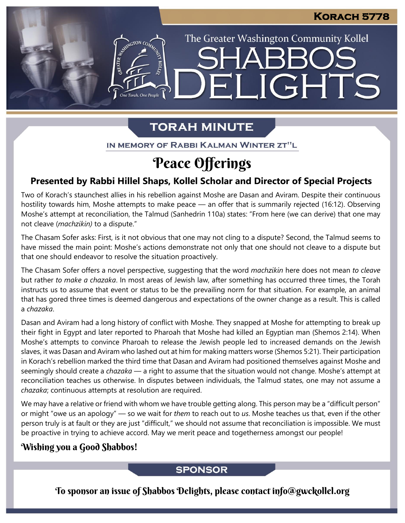The Greater Washington Community Kollel

ELIGHTS

# **TORAH MINUTE**

IN MEMORY OF RABBI KALMAN WINTER ZT"L

# Peace Offerings

# **Presented by Rabbi Hillel Shaps, Kollel Scholar and Director of Special Projects**

Two of Korach's staunchest allies in his rebellion against Moshe are Dasan and Aviram. Despite their continuous hostility towards him, Moshe attempts to make peace — an offer that is summarily rejected (16:12). Observing Moshe's attempt at reconciliation, the Talmud (Sanhedrin 110a) states: "From here (we can derive) that one may not cleave (*machzikin)* to a dispute."

The Chasam Sofer asks: First, is it not obvious that one may not cling to a dispute? Second, the Talmud seems to have missed the main point: Moshe's actions demonstrate not only that one should not cleave to a dispute but that one should endeavor to resolve the situation proactively.

The Chasam Sofer offers a novel perspective, suggesting that the word *machzikin* here does not mean *to cleave* but rather *to make a chazaka*. In most areas of Jewish law, after something has occurred three times, the Torah instructs us to assume that event or status to be the prevailing norm for that situation. For example, an animal that has gored three times is deemed dangerous and expectations of the owner change as a result. This is called a *chazaka*.

Dasan and Aviram had a long history of conflict with Moshe. They snapped at Moshe for attempting to break up their fight in Egypt and later reported to Pharoah that Moshe had killed an Egyptian man (Shemos 2:14). When Moshe's attempts to convince Pharoah to release the Jewish people led to increased demands on the Jewish slaves, it was Dasan and Aviram who lashed out at him for making matters worse (Shemos 5:21). Their participation in Korach's rebellion marked the third time that Dasan and Aviram had positioned themselves against Moshe and seemingly should create a *chazaka* — a right to assume that the situation would not change. Moshe's attempt at reconciliation teaches us otherwise. In disputes between individuals, the Talmud states, one may not assume a *chazaka*; continuous attempts at resolution are required.

We may have a relative or friend with whom we have trouble getting along. This person may be a "difficult person" or might "owe us an apology" — so we wait for *them* to reach out to *us*. Moshe teaches us that, even if the other person truly is at fault or they are just "difficult," we should not assume that reconciliation is impossible. We must be proactive in trying to achieve accord. May we merit peace and togetherness amongst our people!

# Wishing you a Good Shabbos!

## **SPONSOR**

To sponsor an issue of Shabbos Delights, please contact info@gwckollel.org